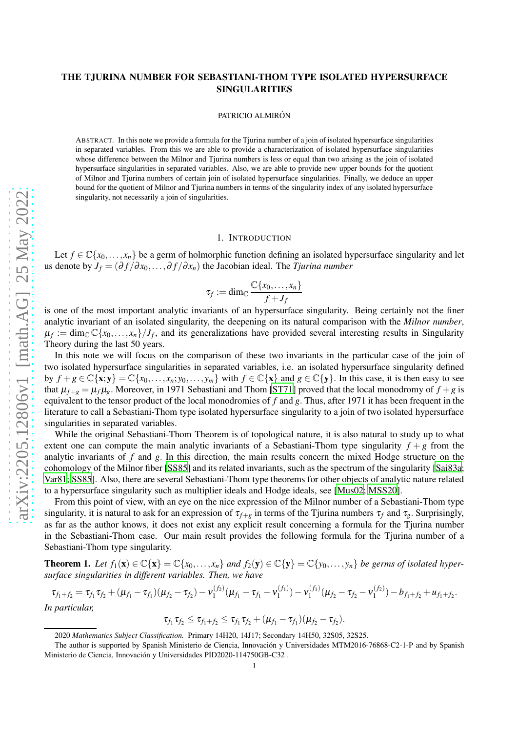# THE TJURINA NUMBER FOR SEBASTIANI-THOM TYPE ISOLATED HYPERSURFACE SINGULARITIES

#### PATRICIO ALMIRÓN

ABSTRACT. In this note we provide a formula for the Tjurina number of a join of isolated hypersurface singularities in separated variables. From this we are able to provide a characterization of isolated hypersurface singularities whose difference between the Milnor and Tjurina numbers is less or equal than two arising as the join of isolated hypersurface singularities in separated variables. Also, we are able to provide new upper bounds for the quotient of Milnor and Tjurina numbers of certain join of isolated hypersurface singularities. Finally, we deduce an upper bound for the quotient of Milnor and Tjurina numbers in terms of the singularity index of any isolated hypersurface singularity, not necessarily a join of singularities.

#### 1. INTRODUCTION

Let  $f \in \mathbb{C}\{x_0,\ldots,x_n\}$  be a germ of holmorphic function defining an isolated hypersurface singularity and let us denote by  $J_f = (\partial f / \partial x_0, \dots, \partial f / \partial x_n)$  the Jacobian ideal. The *Tjurina number* 

$$
\tau_f := \dim_{\mathbb{C}} \frac{\mathbb{C}\{x_0, \dots, x_n\}}{f + J_f}
$$

is one of the most important analytic invariants of an hypersurface singularity. Being certainly not the finer analytic invariant of an isolated singularity, the deepening on its natural comparison with the *Milnor number*,  $\mu_f := \dim_{\mathbb{C}} \mathbb{C}\{x_0,\ldots,x_n\}/J_f$ , and its generalizations have provided several interesting results in Singularity Theory during the last 50 years.

In this note we will focus on the comparison of these two invariants in the particular case of the join of two isolated hypersurface singularities in separated variables, i.e. an isolated hypersurface singularity defined by  $f + g \in \mathbb{C}\{\mathbf{x}; \mathbf{y}\} = \mathbb{C}\{x_0, \dots, x_n; y_0, \dots, y_m\}$  with  $f \in \mathbb{C}\{\mathbf{x}\}\$ and  $g \in \mathbb{C}\{\mathbf{y}\}\$ . In this case, it is then easy to see that  $\mu_{f+g} = \mu_f \mu_g$ . Moreover, in 1971 Sebastiani and Thom [\[ST71](#page-8-0)] proved that the local monodromy of  $f + g$  is equivalent to the tensor product of the local monodromies of *f* and *g*. Thus, after 1971 it has been frequent in the literature to call a Sebastiani-Thom type isolated hypersurface singularity to a join of two isolated hypersurface singularities in separated variables.

While the original Sebastiani-Thom Theorem is of topological nature, it is also natural to study up to what extent one can compute the main analytic invariants of a Sebastiani-Thom type singularity  $f + g$  from the analytic invariants of *f* and *g*. In this direction, the main results concern the mixed Hodge structure on the cohomology of the Milnor fiber [\[SS85\]](#page-8-1) and its related invariants, such as the spectrum of the singularity [\[Sai83a](#page-8-2); [Var81](#page-8-3); [SS85\]](#page-8-1). Also, there are several Sebastiani-Thom type theorems for other objects of analytic nature related to a hypersurface singularity such as multiplier ideals and Hodge ideals, see [\[Mus02](#page-7-0); [MSS20\]](#page-7-1).

From this point of view, with an eye on the nice expression of the Milnor number of a Sebastiani-Thom type singularity, it is natural to ask for an expression of  $\tau_{f+g}$  in terms of the Tjurina numbers  $\tau_f$  and  $\tau_g$ . Surprisingly, as far as the author knows, it does not exist any explicit result concerning a formula for the Tjurina number in the Sebastiani-Thom case. Our main result provides the following formula for the Tjurina number of a Sebastiani-Thom type singularity.

<span id="page-0-0"></span>**Theorem 1.** Let  $f_1(\mathbf{x}) \in \mathbb{C}\{\mathbf{x}\} = \mathbb{C}\{x_0, \ldots, x_n\}$  and  $f_2(\mathbf{y}) \in \mathbb{C}\{\mathbf{y}\} = \mathbb{C}\{y_0, \ldots, y_n\}$  be germs of isolated hyper*surface singularities in different variables. Then, we have*

$$
\tau_{f_1+f_2} = \tau_{f_1}\tau_{f_2} + (\mu_{f_1} - \tau_{f_1})(\mu_{f_2} - \tau_{f_2}) - \nu_1^{(f_2)}(\mu_{f_1} - \tau_{f_1} - \nu_1^{(f_1)}) - \nu_1^{(f_1)}(\mu_{f_2} - \tau_{f_2} - \nu_1^{(f_2)}) - b_{f_1+f_2} + u_{f_1+f_2}.
$$
  
In particular,

$$
\tau_{f_1}\tau_{f_2} \leq \tau_{f_1+f_2} \leq \tau_{f_1}\tau_{f_2} + (\mu_{f_1}-\tau_{f_1})(\mu_{f_2}-\tau_{f_2}).
$$

<sup>2020</sup> *Mathematics Subject Classification.* Primary 14H20, 14J17; Secondary 14H50, 32S05, 32S25.

The author is supported by Spanish Ministerio de Ciencia, Innovación y Universidades MTM2016-76868-C2-1-P and by Spanish Ministerio de Ciencia, Innovación y Universidades PID2020-114750GB-C32.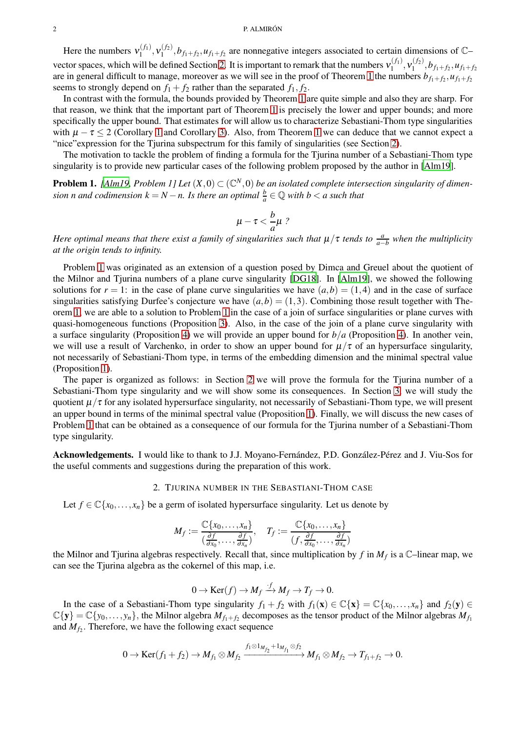#### 2 P. ALMIRÓN

Here the numbers  $v_1^{(f_1)}$  $\mathbf{v}_1^{(f_1)}, \mathbf{v}_1^{(f_2)}$  $n_1^{(1/2)}, b_{f_1+f_2}, u_{f_1+f_2}$  are nonnegative integers associated to certain dimensions of  $\mathbb{C}$ vector spaces, which will be defined Section [2.](#page-1-0) It is important to remark that the numbers  $v_1^{(f_1)}$  $\mathcal{N}_1^{(f_1)}, \mathcal{V}_1^{(f_2)}$  $h_1^{(J2)}, b_{f_1+f_2}, u_{f_1+f_2}$ are in general difficult to manage, moreover as we will see in the proof of Theorem [1](#page-0-0) the numbers  $b_{f_1+f_2}, u_{f_1+f_2}$ seems to strongly depend on  $f_1 + f_2$  rather than the separated  $f_1, f_2$ .

In contrast with the formula, the bounds provided by Theorem [1](#page-0-0) are quite simple and also they are sharp. For that reason, we think that the important part of Theorem [1](#page-0-0) is precisely the lower and upper bounds; and more specifically the upper bound. That estimates for will allow us to characterize Sebastiani-Thom type singularities with  $\mu - \tau \leq 2$  (Corollary [1](#page-0-0) and Corollary [3\)](#page-4-1). Also, from Theorem 1 we can deduce that we cannot expect a "nice"expression for the Tjurina subspectrum for this family of singularities (see Section [2\)](#page-1-0).

<span id="page-1-1"></span>The motivation to tackle the problem of finding a formula for the Tjurina number of a Sebastiani-Thom type singularity is to provide new particular cases of the following problem proposed by the author in [\[Alm19](#page-7-2)].

**Problem 1.** [\[Alm19](#page-7-2), Problem 1] Let  $(X,0) \subset (\mathbb{C}^N,0)$  be an isolated complete intersection singularity of dimen*sion n and codimension*  $k = N - n$ . *Is there an optimal*  $\frac{b}{a} \in \mathbb{Q}$  *with*  $b < a$  *such that* 

$$
\mu-\tau<\frac{b}{a}\mu?
$$

*Here optimal means that there exist a family of singularities such that*  $\mu/\tau$  *tends to*  $\frac{a}{a-b}$  *when the multiplicity at the origin tends to infinity.*

Problem [1](#page-1-1) was originated as an extension of a question posed by Dimca and Greuel about the quotient of the Milnor and Tjurina numbers of a plane curve singularity [\[DG18\]](#page-7-3). In [\[Alm19](#page-7-2)], we showed the following solutions for  $r = 1$ : in the case of plane curve singularities we have  $(a,b) = (1,4)$  and in the case of surface singularities satisfying Durfee's conjecture we have  $(a, b) = (1, 3)$ . Combining those result together with Theorem [1,](#page-0-0) we are able to a solution to Problem [1](#page-1-1) in the case of a join of surface singularities or plane curves with quasi-homogeneous functions (Proposition [3\)](#page-6-0). Also, in the case of the join of a plane curve singularity with a surface singularity (Proposition [4\)](#page-7-4) we will provide an upper bound for *b*/*a* (Proposition [4\)](#page-7-4). In another vein, we will use a result of Varchenko, in order to show an upper bound for  $\mu/\tau$  of an hypersurface singularity, not necessarily of Sebastiani-Thom type, in terms of the embedding dimension and the minimal spectral value (Proposition [1\)](#page-5-0).

The paper is organized as follows: in Section [2](#page-1-0) we will prove the formula for the Tjurina number of a Sebastiani-Thom type singularity and we will show some its consequences. In Section [3,](#page-5-1) we will study the quotient  $\mu/\tau$  for any isolated hypersurface singularity, not necessarily of Sebastiani-Thom type, we will present an upper bound in terms of the minimal spectral value (Proposition [1\)](#page-5-0). Finally, we will discuss the new cases of Problem [1](#page-1-1) that can be obtained as a consequence of our formula for the Tjurina number of a Sebastiani-Thom type singularity.

<span id="page-1-0"></span>Acknowledgements. I would like to thank to J.J. Moyano-Fernández, P.D. González-Pérez and J. Viu-Sos for the useful comments and suggestions during the preparation of this work.

#### 2. TJURINA NUMBER IN THE SEBASTIANI-THOM CASE

Let  $f \in \mathbb{C}\{x_0,\ldots,x_n\}$  be a germ of isolated hypersurface singularity. Let us denote by

$$
M_f := \frac{\mathbb{C}\{x_0, \dots, x_n\}}{(\frac{\partial f}{\partial x_0}, \dots, \frac{\partial f}{\partial x_n})}, \quad T_f := \frac{\mathbb{C}\{x_0, \dots, x_n\}}{(f, \frac{\partial f}{\partial x_0}, \dots, \frac{\partial f}{\partial x_n})}
$$

the Milnor and Tjurina algebras respectively. Recall that, since multiplication by *f* in *M<sup>f</sup>* is a C–linear map, we can see the Tjurina algebra as the cokernel of this map, i.e.

$$
0 \to \text{Ker}(f) \to M_f \xrightarrow{f} M_f \to T_f \to 0.
$$

In the case of a Sebastiani-Thom type singularity  $f_1 + f_2$  with  $f_1(\mathbf{x}) \in \mathbb{C}\{\mathbf{x}\} = \mathbb{C}\{x_0, \ldots, x_n\}$  and  $f_2(\mathbf{y}) \in$  $\mathbb{C}\{\mathbf{y}\} = \mathbb{C}\{y_0,\ldots,y_n\}$ , the Milnor algebra  $M_{f_1+f_2}$  decomposes as the tensor product of the Milnor algebras  $M_{f_1}$ and  $M_{f_2}$ . Therefore, we have the following exact sequence

$$
0 \to \text{Ker}(f_1+f_2) \to M_{f_1} \otimes M_{f_2} \xrightarrow{f_1 \otimes 1_{M_{f_2}}+1_{M_{f_1}} \otimes f_2} M_{f_1} \otimes M_{f_2} \to T_{f_1+f_2} \to 0.
$$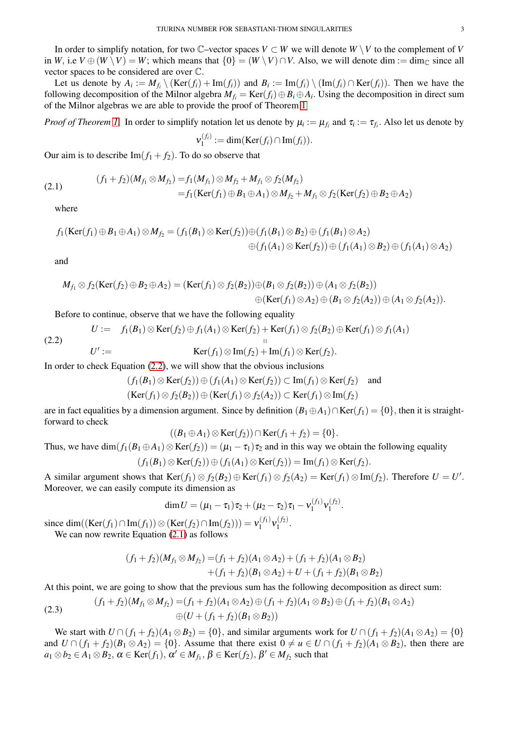In order to simplify notation, for two  $\mathbb{C}$ –vector spaces  $V \subset W$  we will denote  $W \setminus V$  to the complement of *V* in *W*, i.e  $V \oplus (W \setminus V) = W$ ; which means that  $\{0\} = (W \setminus V) \cap V$ . Also, we will denote dim := dim<sub>C</sub> since all vector spaces to be considered are over C.

Let us denote by  $A_i := M_{f_i} \setminus (Ker(f_i) + Im(f_i))$  and  $B_i := Im(f_i) \setminus (Im(f_i) \cap Ker(f_i))$ . Then we have the following decomposition of the Milnor algebra  $M_{f_i} = \text{Ker}(f_i) \oplus B_i \oplus A_i$ . Using the decomposition in direct sum of the Milnor algebras we are able to provide the proof of Theorem [1](#page-0-0)

*Proof of Theorem [1.](#page-0-0)* In order to simplify notation let us denote by  $\mu_i := \mu_{f_i}$  and  $\tau_i := \tau_{f_i}$ . Also let us denote by

$$
\mathsf{v}_1^{(f_i)} := \dim(\text{Ker}(f_i) \cap \text{Im}(f_i)).
$$

Our aim is to describe  $Im(f_1 + f_2)$ . To do so observe that

<span id="page-2-1"></span>(2.1) 
$$
(f_1 + f_2)(M_{f_1} \otimes M_{f_2}) = f_1(M_{f_1}) \otimes M_{f_2} + M_{f_1} \otimes f_2(M_{f_2})
$$

$$
= f_1(\text{Ker}(f_1) \oplus B_1 \oplus A_1) \otimes M_{f_2} + M_{f_1} \otimes f_2(\text{Ker}(f_2) \oplus B_2 \oplus A_2)
$$

where

$$
f_1(\text{Ker}(f_1) \oplus B_1 \oplus A_1) \otimes M_{f_2} = (f_1(B_1) \otimes \text{Ker}(f_2)) \oplus (f_1(B_1) \otimes B_2) \oplus (f_1(B_1) \otimes A_2)
$$
  

$$
\oplus (f_1(A_1) \otimes \text{Ker}(f_2)) \oplus (f_1(A_1) \otimes B_2) \oplus (f_1(A_1) \otimes A_2)
$$

and

$$
M_{f_1} \otimes f_2(\text{Ker}(f_2) \oplus B_2 \oplus A_2) = (\text{Ker}(f_1) \otimes f_2(B_2)) \oplus (B_1 \otimes f_2(B_2)) \oplus (A_1 \otimes f_2(B_2))
$$
  

$$
\oplus (\text{Ker}(f_1) \otimes A_2) \oplus (B_1 \otimes f_2(A_2)) \oplus (A_1 \otimes f_2(A_2)).
$$

<span id="page-2-0"></span>Before to continue, observe that we have the following equality

(2.2) 
$$
U := f_1(B_1) \otimes \text{Ker}(f_2) \oplus f_1(A_1) \otimes \text{Ker}(f_2) + \text{Ker}(f_1) \otimes f_2(B_2) \oplus \text{Ker}(f_1) \otimes f_1(A_1)
$$

$$
U' := \text{Ker}(f_1) \otimes \text{Im}(f_2) + \text{Im}(f_1) \otimes \text{Ker}(f_2).
$$

In order to check Equation [\(2.2\)](#page-2-0), we will show that the obvious inclusions

$$
(f_1(B_1) \otimes \text{Ker}(f_2)) \oplus (f_1(A_1) \otimes \text{Ker}(f_2)) \subset \text{Im}(f_1) \otimes \text{Ker}(f_2) \quad \text{and}
$$
  

$$
(\text{Ker}(f_1) \otimes f_2(B_2)) \oplus (\text{Ker}(f_1) \otimes f_2(A_2)) \subset \text{Ker}(f_1) \otimes \text{Im}(f_2)
$$

are in fact equalities by a dimension argument. Since by definition  $(B_1 \oplus A_1) \cap \text{Ker}(f_1) = \{0\}$ , then it is straightforward to check

$$
((B_1 \oplus A_1) \otimes \text{Ker}(f_2)) \cap \text{Ker}(f_1 + f_2) = \{0\}.
$$

Thus, we have  $\dim(f_1(B_1 \oplus A_1) \otimes \text{Ker}(f_2)) = (\mu_1 - \tau_1)\tau_2$  and in this way we obtain the following equality

$$
(f_1(B_1) \otimes \text{Ker}(f_2)) \oplus (f_1(A_1) \otimes \text{Ker}(f_2)) = \text{Im}(f_1) \otimes \text{Ker}(f_2).
$$

A similar argument shows that  $\text{Ker}(f_1) \otimes f_2(B_2) \oplus \text{Ker}(f_1) \otimes f_2(A_2) = \text{Ker}(f_1) \otimes \text{Im}(f_2)$ . Therefore  $U = U'$ . Moreover, we can easily compute its dimension as

$$
\dim U = (\mu_1 - \tau_1)\tau_2 + (\mu_2 - \tau_2)\tau_1 - \mathsf{v}_1^{(f_1)}\mathsf{v}_1^{(f_2)}.
$$

since dim((Ker( $f_1$ )∩Im( $f_1$ )) ⊗ (Ker( $f_2$ )∩Im( $f_2$ ))) =  $v_1^{(f_1)}$  $\mathcal{N}_1^{(f_1)} \mathcal{V}_1^{(f_2)}$  $\frac{(1,1)}{1}$ .

We can now rewrite Equation  $(2.1)$  as follows

$$
(f_1 + f_2)(M_{f_1} \otimes M_{f_2}) = (f_1 + f_2)(A_1 \otimes A_2) + (f_1 + f_2)(A_1 \otimes B_2)
$$
  
+ 
$$
(f_1 + f_2)(B_1 \otimes A_2) + U + (f_1 + f_2)(B_1 \otimes B_2)
$$

At this point, we are going to show that the previous sum has the following decomposition as direct sum:

<span id="page-2-2"></span>(2.3) 
$$
(f_1 + f_2)(M_{f_1} \otimes M_{f_2}) = (f_1 + f_2)(A_1 \otimes A_2) \oplus (f_1 + f_2)(A_1 \otimes B_2) \oplus (f_1 + f_2)(B_1 \otimes A_2)
$$

$$
\oplus (U + (f_1 + f_2)(B_1 \otimes B_2))
$$

We start with  $U \cap (f_1 + f_2)(A_1 \otimes B_2) = \{0\}$ , and similar arguments work for  $U \cap (f_1 + f_2)(A_1 \otimes A_2) = \{0\}$ and  $U \cap (f_1 + f_2)(B_1 \otimes A_2) = \{0\}$ . Assume that there exist  $0 \neq u \in U \cap (f_1 + f_2)(A_1 \otimes B_2)$ , then there are  $a_1 \otimes b_2 \in A_1 \otimes B_2$ ,  $\alpha \in \text{Ker}(f_1)$ ,  $\alpha' \in M_{f_1}$ ,  $\beta \in \text{Ker}(f_2)$ ,  $\beta' \in M_{f_2}$  such that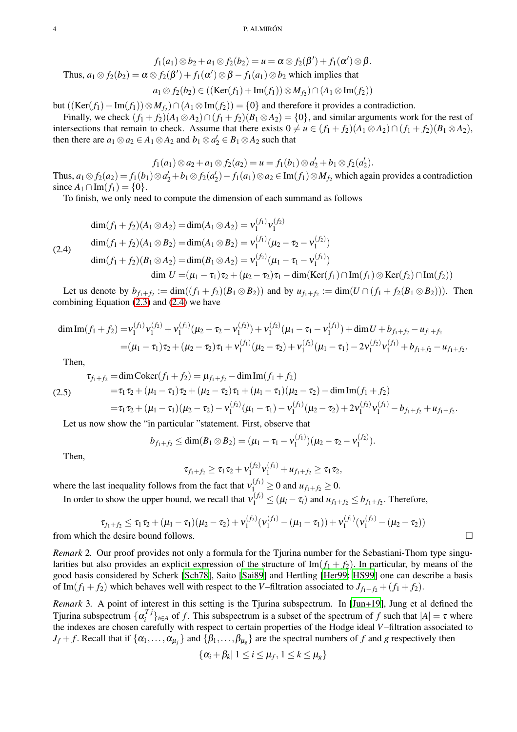$$
f_1(a_1) \otimes b_2 + a_1 \otimes f_2(b_2) = u = \alpha \otimes f_2(\beta') + f_1(\alpha') \otimes \beta.
$$
  
Thus,  $a_1 \otimes f_2(b_2) = \alpha \otimes f_2(\beta') + f_1(\alpha') \otimes \beta - f_1(a_1) \otimes b_2$  which implies that  
 $a_1 \otimes f_2(b_2) \in ((\text{Ker}(f_1) + \text{Im}(f_1)) \otimes M_{f_2}) \cap (A_1 \otimes \text{Im}(f_2))$ 

but  $((\text{Ker}(f_1) + \text{Im}(f_1)) \otimes M_{f_2}) \cap (A_1 \otimes \text{Im}(f_2)) = \{0\}$  and therefore it provides a contradiction.

Finally, we check  $(f_1 + f_2)(A_1 \otimes A_2) \cap (f_1 + f_2)(B_1 \otimes A_2) = \{0\}$ , and similar arguments work for the rest of intersections that remain to check. Assume that there exists  $0 \neq u \in (f_1 + f_2)(A_1 \otimes A_2) \cap (f_1 + f_2)(B_1 \otimes A_2)$ , then there are  $a_1 \otimes a_2 \in A_1 \otimes A_2$  and  $b_1 \otimes a'_2 \in B_1 \otimes A_2$  such that

$$
f_1(a_1) \otimes a_2 + a_1 \otimes f_2(a_2) = u = f_1(b_1) \otimes a'_2 + b_1 \otimes f_2(a'_2).
$$

Thus,  $a_1 \otimes f_2(a_2) = f_1(b_1) \otimes a_2' + b_1 \otimes f_2(a_2') - f_1(a_1) \otimes a_2 \in \text{Im}(f_1) \otimes M_{f_2}$  which again provides a contradiction since  $A_1 \cap Im(f_1) = \{0\}.$ 

To finish, we only need to compute the dimension of each summand as follows

<span id="page-3-0"></span>
$$
\dim(f_1 + f_2)(A_1 \otimes A_2) = \dim(A_1 \otimes A_2) = v_1^{(f_1)} v_1^{(f_2)}
$$
\n
$$
\dim(f_1 + f_2)(A_1 \otimes B_2) = \dim(A_1 \otimes B_2) = v_1^{(f_1)} (\mu_2 - \tau_2 - v_1^{(f_2)})
$$
\n
$$
\dim(f_1 + f_2)(B_1 \otimes A_2) = \dim(B_1 \otimes A_2) = v_1^{(f_2)} (\mu_1 - \tau_1 - v_1^{(f_1)})
$$
\n
$$
\dim U = (\mu_1 - \tau_1)\tau_2 + (\mu_2 - \tau_2)\tau_1 - \dim(\text{Ker}(f_1) \cap \text{Im}(f_1) \otimes \text{Ker}(f_2) \cap \text{Im}(f_2))
$$

Let us denote by  $b_{f_1+f_2} := \dim((f_1+f_2)(B_1 \otimes B_2))$  and by  $u_{f_1+f_2} := \dim(U \cap (f_1+f_2(B_1 \otimes B_2)))$ . Then combining Equation [\(2.3\)](#page-2-2) and [\(2.4\)](#page-3-0) we have

$$
\dim \text{Im}(f_1 + f_2) = v_1^{(f_1)} v_1^{(f_2)} + v_1^{(f_1)} (\mu_2 - \tau_2 - v_1^{(f_2)}) + v_1^{(f_2)} (\mu_1 - \tau_1 - v_1^{(f_1)}) + \dim U + b_{f_1 + f_2} - u_{f_1 + f_2}
$$
\n
$$
= (\mu_1 - \tau_1) \tau_2 + (\mu_2 - \tau_2) \tau_1 + v_1^{(f_1)} (\mu_2 - \tau_2) + v_1^{(f_2)} (\mu_1 - \tau_1) - 2v_1^{(f_2)} v_1^{(f_1)} + b_{f_1 + f_2} - u_{f_1 + f_2}.
$$

Then,

$$
\tau_{f_1+f_2} = \dim \text{Coker}(f_1+f_2) = \mu_{f_1+f_2} - \dim \text{Im}(f_1+f_2)
$$
\n
$$
= \tau_1 \tau_2 + (\mu_1 - \tau_1) \tau_2 + (\mu_2 - \tau_2) \tau_1 + (\mu_1 - \tau_1) (\mu_2 - \tau_2) - \dim \text{Im}(f_1+f_2)
$$
\n
$$
= \tau_1 \tau_2 + (\mu_1 - \tau_1) (\mu_2 - \tau_2) - \mathbf{v}_1^{(f_2)} (\mu_1 - \tau_1) - \mathbf{v}_1^{(f_1)} (\mu_2 - \tau_2) + 2 \mathbf{v}_1^{(f_2)} \mathbf{v}_1^{(f_1)} - b_{f_1+f_2} + u_{f_1+f_2}.
$$

Let us now show the "in particular "statement. First, observe that

$$
b_{f_1+f_2} \leq \dim(B_1 \otimes B_2) = (\mu_1 - \tau_1 - \nu_1^{(f_1)}) (\mu_2 - \tau_2 - \nu_1^{(f_2)})
$$
.

Then,

$$
\tau_{f_1+f_2} \geq \tau_1 \tau_2 + v_1^{(f_2)} v_1^{(f_1)} + u_{f_1+f_2} \geq \tau_1 \tau_2,
$$

where the last inequality follows from the fact that  $v_{1}^{(f_1)} \ge 0$  and  $u_{f_1+f_2} \ge 0$ .

In order to show the upper bound, we recall that  $v_1^{(f_i)} \le (\mu_i - \tau_i)$  and  $u_{f_1+f_2} \le b_{f_1+f_2}$ . Therefore,

$$
\tau_{f_1+f_2} \leq \tau_1 \tau_2 + (\mu_1 - \tau_1)(\mu_2 - \tau_2) + \nu_1^{(f_2)}(\nu_1^{(f_1)} - (\mu_1 - \tau_1)) + \nu_1^{(f_1)}(\nu_1^{(f_2)} - (\mu_2 - \tau_2))
$$
  
from which the desire bound follows.

*Remark* 2*.* Our proof provides not only a formula for the Tjurina number for the Sebastiani-Thom type singularities but also provides an explicit expression of the structure of  $\text{Im}(f_1 + f_2)$ . In particular, by means of the good basis considered by Scherk [\[Sch78\]](#page-8-4), Saito [\[Sai89](#page-8-5)] and Hertling [\[Her99](#page-7-5); [HS99\]](#page-7-6) one can describe a basis of Im( $f_1 + f_2$ ) which behaves well with respect to the *V*–filtration associated to  $J_{f_1+f_2} + (f_1+f_2)$ .

*Remark* 3*.* A point of interest in this setting is the Tjurina subspectrum. In [\[Jun+19](#page-7-7)], Jung et al defined the Tjurina subspectrum  $\{\alpha_i^{Tj}\}$  $\{f_i^{I} \}_{i \in A}$  of *f*. This subspectrum is a subset of the spectrum of *f* such that  $|A| = \tau$  where the indexes are chosen carefully with respect to certain properties of the Hodge ideal *V*–filtration associated to  $J_f + f$ . Recall that if  $\{\alpha_1, \dots, \alpha_{\mu_f}\}$  and  $\{\beta_1, \dots, \beta_{\mu_g}\}$  are the spectral numbers of *f* and *g* respectively then

$$
\{\alpha_i+\beta_k|\ 1\leq i\leq \mu_f, \ 1\leq k\leq \mu_g\}
$$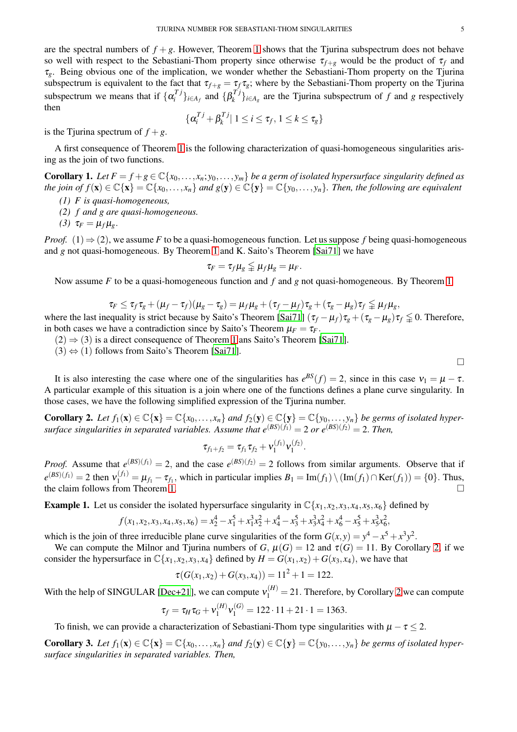are the spectral numbers of  $f + g$ . However, Theorem [1](#page-0-0) shows that the Tjurina subspectrum does not behave so well with respect to the Sebastiani-Thom property since otherwise  $\tau_{f+g}$  would be the product of  $\tau_f$  and <sup>τ</sup>*g*. Being obvious one of the implication, we wonder whether the Sebastiani-Thom property on the Tjurina subspectrum is equivalent to the fact that  $\tau_{f+g} = \tau_f \tau_g$ ; where by the Sebastiani-Thom property on the Tjurina subspectrum we means that if  $\{\alpha_i^T\}$  $\{a_i^{Tj}\}_{i \in A_f}$  and  $\{\beta_k^{Tj}\}$  $\{f_k^{I}f\}_{i \in A_g}$  are the Tjurina subspectrum of *f* and *g* respectively then

$$
\{\alpha_i^{Tj} + \beta_k^{Tj} | 1 \le i \le \tau_f, 1 \le k \le \tau_g\}
$$

is the Tjurina spectrum of  $f + g$ .

<span id="page-4-0"></span>A first consequence of Theorem [1](#page-0-0) is the following characterization of quasi-homogeneous singularities arising as the join of two functions.

**Corollary 1.** Let  $F = f + g \in \mathbb{C} \{x_0, \ldots, x_n; y_0, \ldots, y_m\}$  be a germ of isolated hypersurface singularity defined as *the join of*  $f(\mathbf{x}) \in \mathbb{C}\{\mathbf{x}\}\} = \mathbb{C}\{x_0,\ldots,x_n\}$  and  $g(\mathbf{y}) \in \mathbb{C}\{\mathbf{y}\}\} = \mathbb{C}\{y_0,\ldots,y_n\}$ . Then, the following are equivalent

- *(1) F is quasi-homogeneous,*
- *(2) f and g are quasi-homogeneous.*
- *(3)*  $\tau_F = \mu_f \mu_g$ .

*Proof.* (1) ⇒ (2), we assume *F* to be a quasi-homogeneous function. Let us suppose *f* being quasi-homogeneous and *g* not quasi-homogeneous. By Theorem [1](#page-0-0) and K. Saito's Theorem [\[Sai71](#page-8-6)] we have

$$
\tau_F = \tau_f \mu_g \leqq \mu_f \mu_g = \mu_F.
$$

Now assume *F* to be a quasi-homogeneous function and *f* and *g* not quasi-homogeneous. By Theorem [1](#page-0-0)

$$
\tau_F \leq \tau_f \tau_g + (\mu_f - \tau_f)(\mu_g - \tau_g) = \mu_f \mu_g + (\tau_f - \mu_f) \tau_g + (\tau_g - \mu_g) \tau_f \leq \mu_f \mu_g,
$$

where the last inequality is strict because by Saito's Theorem [\[Sai71](#page-8-6)]  $(\tau_f - \mu_f)\tau_g + (\tau_g - \mu_g)\tau_f \leq 0$ . Therefore, in both cases we have a contradiction since by Saito's Theorem  $\mu_F = \tau_F$ .

 $(2) \Rightarrow (3)$  is a direct consequence of Theorem [1](#page-0-0) ans Saito's Theorem [\[Sai71](#page-8-6)].

 $(3) \Leftrightarrow (1)$  follows from Saito's Theorem [\[Sai71](#page-8-6)].

It is also interesting the case where one of the singularities has  $e^{BS}(f) = 2$ , since in this case  $v_1 = \mu - \tau$ . A particular example of this situation is a join where one of the functions defines a plane curve singularity. In those cases, we have the following simplified expression of the Tjurina number.

<span id="page-4-2"></span>Corollary 2. Let  $f_1(\mathbf{x}) \in \mathbb{C}\{\mathbf{x}\} = \mathbb{C}\{x_0,\ldots,x_n\}$  and  $f_2(\mathbf{y}) \in \mathbb{C}\{\mathbf{y}\} = \mathbb{C}\{y_0,\ldots,y_n\}$  be germs of isolated hyper*surface singularities in separated variables. Assume that*  $e^{(BS)(f_1)} = 2$  or  $e^{(BS)(f_2)} = 2$ . Then,

$$
\tau_{f_1+f_2}=\tau_{f_1}\tau_{f_2}+v_1^{(f_1)}v_1^{(f_2)}.
$$

*Proof.* Assume that  $e^{(BS)(f_1)} = 2$ , and the case  $e^{(BS)(f_2)} = 2$  follows from similar arguments. Observe that if  $e^{(BS)(f_1)} = 2$  then  $v_1^{(f_1)} = \mu_{f_1} - \tau_{f_1}$ , which in particular implies  $B_1 = \text{Im}(f_1) \setminus (\text{Im}(f_1) \cap \text{Ker}(f_1)) = \{0\}$ . Thus, the claim follows from Theorem [1.](#page-0-0)

**Example 1.** Let us consider the isolated hypersurface singularity in  $\mathbb{C}\{x_1, x_2, x_3, x_4, x_5, x_6\}$  defined by

$$
f(x_1, x_2, x_3, x_4, x_5, x_6) = x_2^4 - x_1^5 + x_1^3 x_2^2 + x_4^4 - x_3^5 + x_3^3 x_4^2 + x_6^4 - x_5^5 + x_5^3 x_6^2,
$$

which is the join of three irreducible plane curve singularities of the form  $G(x, y) = y^4 - x^5 + x^3y^2$ .

We can compute the Milnor and Tjurina numbers of *G*,  $\mu(G) = 12$  and  $\tau(G) = 11$ . By Corollary [2,](#page-4-2) if we consider the hypersurface in  $\mathbb{C}\{x_1, x_2, x_3, x_4\}$  defined by  $H = G(x_1, x_2) + G(x_3, x_4)$ , we have that

$$
\tau(G(x_1,x_2)+G(x_3,x_4))=11^2+1=122.
$$

With the help of SINGULAR [\[Dec+21](#page-7-8)], we can compute  $v_1^{(H)} = 21$  $v_1^{(H)} = 21$  $v_1^{(H)} = 21$ . Therefore, by Corollary 2 we can compute

$$
\tau_f = \tau_H \tau_G + v_1^{(H)} v_1^{(G)} = 122 \cdot 11 + 21 \cdot 1 = 1363.
$$

<span id="page-4-1"></span>To finish, we can provide a characterization of Sebastiani-Thom type singularities with  $\mu - \tau \leq 2$ .

**Corollary 3.** Let  $f_1(\mathbf{x}) \in \mathbb{C}\{\mathbf{x}\} = \mathbb{C}\{x_0, \ldots, x_n\}$  and  $f_2(\mathbf{y}) \in \mathbb{C}\{\mathbf{y}\} = \mathbb{C}\{y_0, \ldots, y_n\}$  be germs of isolated hyper*surface singularities in separated variables. Then,*

 $\Box$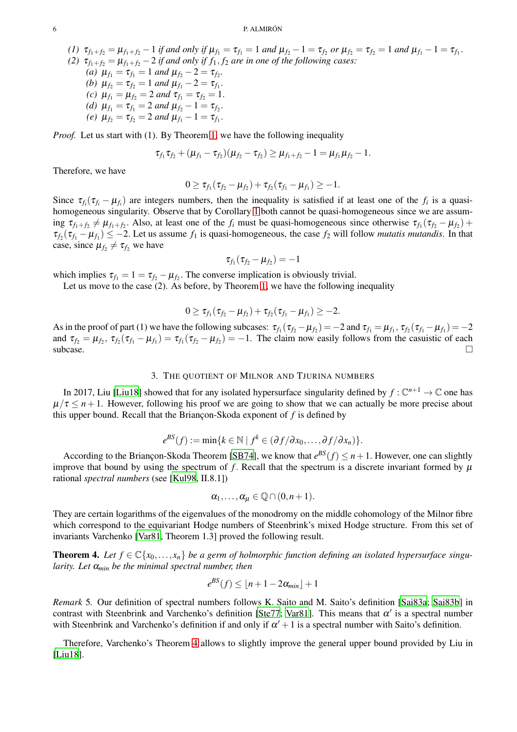#### 6 P. ALMIRÓN

(1)  $\tau_{f_1+f_2} = \mu_{f_1+f_2} - 1$  if and only if  $\mu_{f_1} = \tau_{f_1} = 1$  and  $\mu_{f_2} - 1 = \tau_{f_2}$  or  $\mu_{f_2} = \tau_{f_2} = 1$  and  $\mu_{f_1} - 1 = \tau_{f_1}$ . *(2)*  $\tau_{f_1+f_2} = \mu_{f_1+f_2} - 2$  *if and only if*  $f_1, f_2$  *are in one of the following cases:* 

*(a)*  $\mu_{f_1} = \tau_{f_1} = 1$  *and*  $\mu_{f_2} - 2 = \tau_{f_2}$ . *(b)*  $\mu_{f_2} = \tau_{f_2} = 1$  *and*  $\mu_{f_1} - 2 = \tau_{f_1}$ .

- *(c)*  $\mu_{f_1} = \mu_{f_2} = 2$  *and*  $\tau_{f_1} = \tau_{f_2} = 1$ .
- *(d)*  $\mu_{f_1} = \tau_{f_1} = 2$  *and*  $\mu_{f_2} 1 = \tau_{f_2}$ .
- *(e)*  $\mu_{f_2} = \tau_{f_2} = 2$  *and*  $\mu_{f_1} 1 = \tau_{f_1}$ .

*Proof.* Let us start with (1). By Theorem [1,](#page-0-0) we have the following inequality

$$
\tau_{f_1}\tau_{f_2}+(\mu_{f_1}-\tau_{f_2})(\mu_{f_2}-\tau_{f_2})\geq \mu_{f_1+f_2}-1=\mu_{f_1}\mu_{f_2}-1.
$$

Therefore, we have

$$
0 \geq \tau_{f_1}(\tau_{f_2} - \mu_{f_2}) + \tau_{f_2}(\tau_{f_1} - \mu_{f_1}) \geq -1.
$$

Since  $\tau_{f_i}(\tau_{f_i} - \mu_{f_i})$  are integers numbers, then the inequality is satisfied if at least one of the  $f_i$  is a quasihomogeneous singularity. Observe that by Corollary [1](#page-4-0) both cannot be quasi-homogeneous since we are assuming  $\tau_{f_1+f_2} \neq \mu_{f_1+f_2}$ . Also, at least one of the  $f_i$  must be quasi-homogeneous since otherwise  $\tau_{f_1}(\tau_{f_2}-\mu_{f_2})$  +  $\tau_{f_2}(\tau_{f_1} - \mu_{f_1}) \leq -2$ . Let us assume  $f_1$  is quasi-homogeneous, the case  $f_2$  will follow *mutatis mutandis*. In that case, since  $\mu_{f_2} \neq \tau_{f_2}$  we have

$$
\tau_{f_1}(\tau_{f_2}-\mu_{f_2})=-1
$$

which implies  $\tau_{f_1} = 1 = \tau_{f_2} - \mu_{f_2}$ . The converse implication is obviously trivial.

Let us move to the case (2). As before, by Theorem [1,](#page-0-0) we have the following inequality

$$
0 \geq \tau_{f_1}(\tau_{f_2} - \mu_{f_2}) + \tau_{f_2}(\tau_{f_1} - \mu_{f_1}) \geq -2.
$$

As in the proof of part (1) we have the following subcases:  $\tau_{f_1}(\tau_{f_2} - \mu_{f_2}) = -2$  and  $\tau_{f_1} = \mu_{f_1}, \tau_{f_2}(\tau_{f_1} - \mu_{f_1}) = -2$ and  $\tau_{f_2} = \mu_{f_2}, \tau_{f_2}(\tau_{f_1} - \mu_{f_1}) = \tau_{f_1}(\tau_{f_2} - \mu_{f_2}) = -1$ . The claim now easily follows from the casuistic of each subcase.  $\square$ 

### 3. THE QUOTIENT OF MILNOR AND TJURINA NUMBERS

<span id="page-5-1"></span>In 2017, Liu [\[Liu18](#page-7-9)] showed that for any isolated hypersurface singularity defined by  $f: \mathbb{C}^{n+1} \to \mathbb{C}$  one has  $\mu/\tau \leq n+1$ . However, following his proof we are going to show that we can actually be more precise about this upper bound. Recall that the Briançon-Skoda exponent of  $f$  is defined by

$$
e^{BS}(f) := \min\{k \in \mathbb{N} \mid f^k \in (\partial f/\partial x_0, \dots, \partial f/\partial x_n)\}.
$$

According to the Briançon-Skoda Theorem [\[SB74\]](#page-8-7), we know that  $e^{BS}(f) \leq n+1$ . However, one can slightly improve that bound by using the spectrum of f. Recall that the spectrum is a discrete invariant formed by  $\mu$ rational *spectral numbers* (see [\[Kul98,](#page-7-10) II.8.1])

$$
\alpha_1,\ldots,\alpha_\mu\in\mathbb{Q}\cap(0,n+1).
$$

They are certain logarithms of the eigenvalues of the monodromy on the middle cohomology of the Milnor fibre which correspond to the equivariant Hodge numbers of Steenbrink's mixed Hodge structure. From this set of invariants Varchenko [\[Var81,](#page-8-3) Theorem 1.3] proved the following result.

<span id="page-5-2"></span>**Theorem 4.** Let  $f \in \mathbb{C}\{x_0, \ldots, x_n\}$  be a germ of holmorphic function defining an isolated hypersurface singu*larity. Let* <sup>α</sup>*min be the minimal spectral number, then*

$$
e^{BS}(f) \leq \lfloor n+1-2\alpha_{\min}\rfloor + 1
$$

*Remark* 5*.* Our definition of spectral numbers follows K. Saito and M. Saito's definition [\[Sai83a](#page-8-2); [Sai83b](#page-8-8)] in contrast with Steenbrink and Varchenko's definition [\[Ste77](#page-8-9); [Var81](#page-8-3)]. This means that  $\alpha'$  is a spectral number with Steenbrink and Varchenko's definition if and only if  $\alpha' + 1$  is a spectral number with Saito's definition.

<span id="page-5-0"></span>Therefore, Varchenko's Theorem [4](#page-5-2) allows to slightly improve the general upper bound provided by Liu in [\[Liu18](#page-7-9)].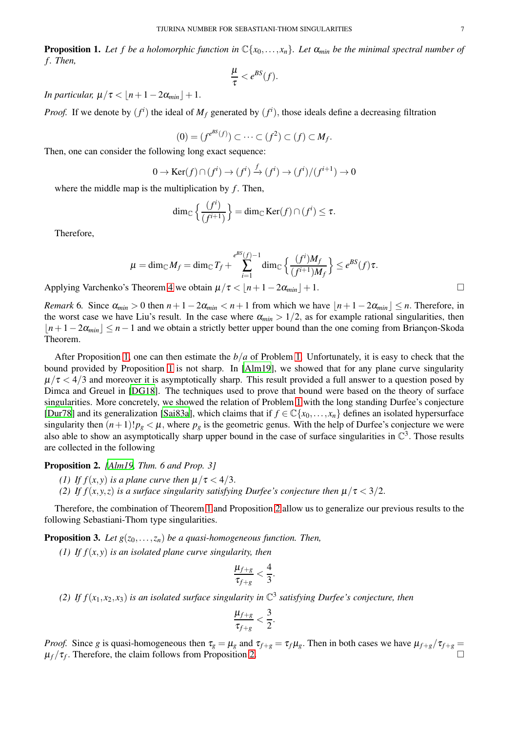**Proposition 1.** Let f be a holomorphic function in  $\mathbb{C}\{x_0,\ldots,x_n\}$ . Let  $\alpha_{min}$  be the minimal spectral number of *f . Then,*

$$
\frac{\mu}{\tau} < e^{BS}(f).
$$

*In particular,*  $\mu/\tau < |n+1-2\alpha_{min}|+1$ .

*Proof.* If we denote by  $(f^i)$  the ideal of  $M_f$  generated by  $(f^i)$ , those ideals define a decreasing filtration

$$
(0)=(f^{e^{BS}(f)})\subset\cdots\subset(f^2)\subset(f)\subset M_f.
$$

Then, one can consider the following long exact sequence:

$$
0 \to \text{Ker}(f) \cap (f^i) \to (f^i) \xrightarrow{f} (f^i) \to (f^i) / (f^{i+1}) \to 0
$$

where the middle map is the multiplication by  $f$ . Then,

$$
\dim_{\mathbb{C}}\left\{\frac{(f^i)}{(f^{i+1})}\right\} = \dim_{\mathbb{C}} \text{Ker}(f) \cap (f^i) \leq \tau.
$$

Therefore,

$$
\mu = \dim_{\mathbb{C}} M_f = \dim_{\mathbb{C}} T_f + \sum_{i=1}^{e^{BS}(f)-1} \dim_{\mathbb{C}} \left\{ \frac{(f^i)M_f}{(f^{i+1})M_f} \right\} \leq e^{BS}(f)\tau.
$$

Applying Varchenko's Theorem [4](#page-5-2) we obtain  $\mu/\tau < |n+1-2\alpha_{min}|+1$ .

*Remark* 6*.* Since  $\alpha_{min} > 0$  then  $n + 1 - 2\alpha_{min} < n + 1$  from which we have  $|n + 1 - 2\alpha_{min}| \leq n$ . Therefore, in the worst case we have Liu's result. In the case where  $\alpha_{min} > 1/2$ , as for example rational singularities, then *|n*+1−2α<sub>*min</sub>* | ≤ *n*−1 and we obtain a strictly better upper bound than the one coming from Briançon-Skoda</sub> Theorem.

After Proposition [1,](#page-5-0) one can then estimate the *b*/*a* of Problem [1.](#page-1-1) Unfortunately, it is easy to check that the bound provided by Proposition [1](#page-5-0) is not sharp. In [\[Alm19\]](#page-7-2), we showed that for any plane curve singularity  $\mu/\tau$  < 4/3 and moreover it is asymptotically sharp. This result provided a full answer to a question posed by Dimca and Greuel in [\[DG18](#page-7-3)]. The techniques used to prove that bound were based on the theory of surface singularities. More concretely, we showed the relation of Problem [1](#page-1-1) with the long standing Durfee's conjecture [\[Dur78](#page-7-11)] and its generalization [\[Sai83a\]](#page-8-2), which claims that if  $f \in \mathbb{C}\{x_0,\ldots,x_n\}$  defines an isolated hypersurface singularity then  $(n+1)!p_g < \mu$ , where  $p_g$  is the geometric genus. With the help of Durfee's conjecture we were also able to show an asymptotically sharp upper bound in the case of surface singularities in  $\mathbb{C}^3$ . Those results are collected in the following

<span id="page-6-1"></span>Proposition 2. *[\[Alm19](#page-7-2), Thm. 6 and Prop. 3]*

- *(1) If f*(*x*,*y*) *is a plane curve then*  $\mu/\tau < 4/3$ .
- *(2) If f(x,y,z) is a surface singularity satisfying Durfee's conjecture then*  $\mu/\tau < 3/2$ .

<span id="page-6-0"></span>Therefore, the combination of Theorem [1](#page-0-0) and Proposition [2](#page-6-1) allow us to generalize our previous results to the following Sebastiani-Thom type singularities.

**Proposition 3.** Let  $g(z_0, \ldots, z_n)$  be a quasi-homogeneous function. Then,

*(1) If f*(*x*,*y*) *is an isolated plane curve singularity, then*

$$
\frac{\mu_{f+g}}{\tau_{f+g}} < \frac{4}{3}.
$$

(2) If  $f(x_1, x_2, x_3)$  *is an isolated surface singularity in*  $\mathbb{C}^3$  *satisfying Durfee's conjecture, then* 

$$
\frac{\mu_{f+g}}{\tau_{f+g}} < \frac{3}{2}.
$$

*Proof.* Since *g* is quasi-homogeneous then  $\tau_g = \mu_g$  and  $\tau_{f+g} = \tau_f \mu_g$ . Then in both cases we have  $\mu_{f+g}/\tau_{f+g} =$  $\mu_f/\tau_f$ . Therefore, the claim follows from Proposition [2.](#page-6-1)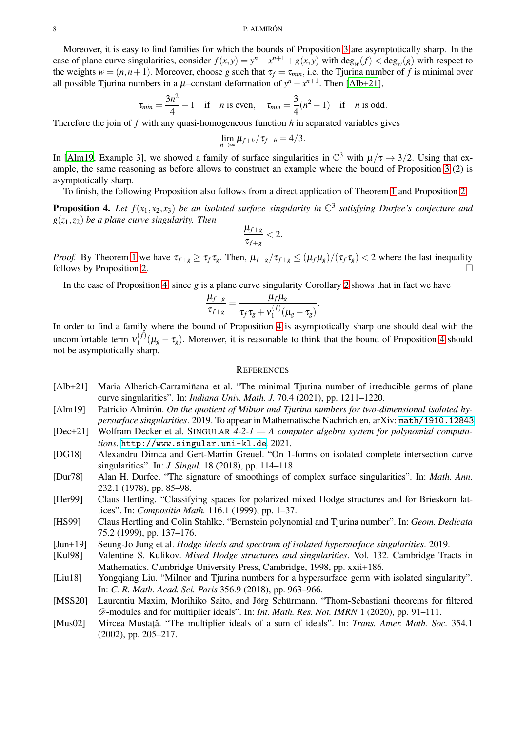Moreover, it is easy to find families for which the bounds of Proposition [3](#page-6-0) are asymptotically sharp. In the case of plane curve singularities, consider  $f(x, y) = y^n - x^{n+1} + g(x, y)$  with  $\deg_w(f) < \deg_w(g)$  with respect to the weights  $w = (n, n+1)$ . Moreover, choose *g* such that  $\tau_f = \tau_{min}$ , i.e. the Tjurina number of *f* is minimal over all possible Tjurina numbers in a  $\mu$ -constant deformation of  $y^n - x^{n+1}$ . Then [\[Alb+21](#page-7-12)],

$$
\tau_{min} = \frac{3n^2}{4} - 1
$$
 if *n* is even,  $\tau_{min} = \frac{3}{4}(n^2 - 1)$  if *n* is odd.

Therefore the join of *f* with any quasi-homogeneous function *h* in separated variables gives

$$
\lim_{n\to\infty}\mu_{f+h}/\tau_{f+h}=4/3.
$$

In [\[Alm19,](#page-7-2) Example 3], we showed a family of surface singularities in  $\mathbb{C}^3$  with  $\mu/\tau \to 3/2$ . Using that example, the same reasoning as before allows to construct an example where the bound of Proposition [3](#page-6-0) (2) is asymptotically sharp.

<span id="page-7-4"></span>To finish, the following Proposition also follows from a direct application of Theorem [1](#page-0-0) and Proposition [2.](#page-6-1)

**Proposition 4.** Let  $f(x_1, x_2, x_3)$  be an isolated surface singularity in  $\mathbb{C}^3$  satisfying Durfee's conjecture and *g*(*z*1,*z*2) *be a plane curve singularity. Then*

$$
\frac{\mu_{f+g}}{\tau_{f+g}} < 2.
$$

*Proof.* By Theorem [1](#page-0-0) we have  $\tau_{f+g} \geq \tau_f \tau_g$ . Then,  $\mu_{f+g}/\tau_{f+g} \leq (\mu_f \mu_g)/(\tau_f \tau_g) < 2$  where the last inequality follows by Proposition [2.](#page-6-1)

In the case of Proposition [4,](#page-7-4) since *g* is a plane curve singularity Corollary [2](#page-4-2) shows that in fact we have

$$
\frac{\mu_{f+g}}{\tau_{f+g}} = \frac{\mu_f \mu_g}{\tau_f \tau_g + \mathsf{v}_1^{(f)}(\mu_g - \tau_g)}.
$$

In order to find a family where the bound of Proposition [4](#page-7-4) is asymptotically sharp one should deal with the uncomfortable term  $v_1^{(f)}$  $1^{(1)} (\mu_g - \tau_g)$ . Moreover, it is reasonable to think that the bound of Proposition [4](#page-7-4) should not be asymptotically sharp.

## **REFERENCES**

- <span id="page-7-12"></span>[Alb+21] Maria Alberich-Carramiñana et al. "The minimal Tjurina number of irreducible germs of plane curve singularities". In: *Indiana Univ. Math. J.* 70.4 (2021), pp. 1211–1220.
- <span id="page-7-2"></span>[Alm19] Patricio Almirón. *On the quotient of Milnor and Tjurina numbers for two-dimensional isolated hypersurface singularities*. 2019. To appear in Mathematische Nachrichten, arXiv: <math/1910.12843>.
- <span id="page-7-8"></span>[Dec+21] Wolfram Decker et al. SINGULAR *4-2-1 — A computer algebra system for polynomial computations*. <http://www.singular.uni-kl.de>. 2021.
- <span id="page-7-3"></span>[DG18] Alexandru Dimca and Gert-Martin Greuel. "On 1-forms on isolated complete intersection curve singularities". In: *J. Singul.* 18 (2018), pp. 114–118.
- <span id="page-7-11"></span>[Dur78] Alan H. Durfee. "The signature of smoothings of complex surface singularities". In: *Math. Ann.* 232.1 (1978), pp. 85–98.
- <span id="page-7-5"></span>[Her99] Claus Hertling. "Classifying spaces for polarized mixed Hodge structures and for Brieskorn lattices". In: *Compositio Math.* 116.1 (1999), pp. 1–37.
- <span id="page-7-6"></span>[HS99] Claus Hertling and Colin Stahlke. "Bernstein polynomial and Tjurina number". In: *Geom. Dedicata* 75.2 (1999), pp. 137–176.
- <span id="page-7-10"></span><span id="page-7-7"></span>[Jun+19] Seung-Jo Jung et al. *Hodge ideals and spectrum of isolated hypersurface singularities*. 2019.
- [Kul98] Valentine S. Kulikov. *Mixed Hodge structures and singularities*. Vol. 132. Cambridge Tracts in Mathematics. Cambridge University Press, Cambridge, 1998, pp. xxii+186.
- <span id="page-7-9"></span>[Liu18] Yongqiang Liu. "Milnor and Tjurina numbers for a hypersurface germ with isolated singularity". In: *C. R. Math. Acad. Sci. Paris* 356.9 (2018), pp. 963–966.
- <span id="page-7-1"></span>[MSS20] Laurentiu Maxim, Morihiko Saito, and Jörg Schürmann. "Thom-Sebastiani theorems for filtered D-modules and for multiplier ideals". In: *Int. Math. Res. Not. IMRN* 1 (2020), pp. 91–111.
- <span id="page-7-0"></span>[Mus02] Mircea Mustatǎ. "The multiplier ideals of a sum of ideals". In: *Trans. Amer. Math. Soc.* 354.1 (2002), pp. 205–217.